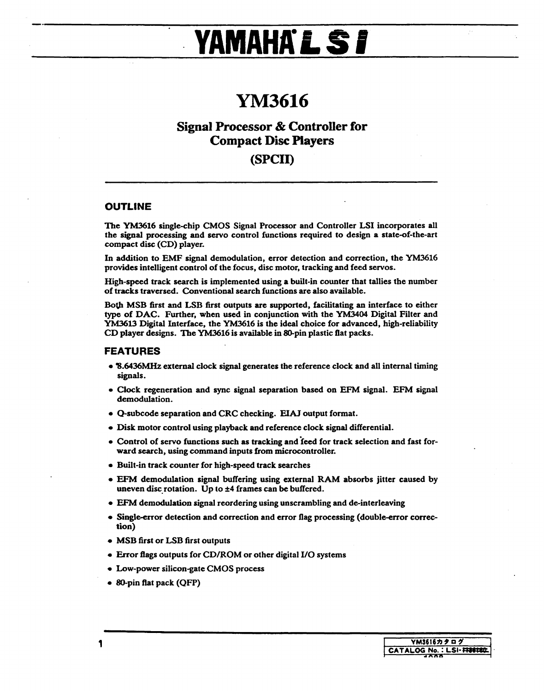# **YAMAHKLSI**

## **YM3616**

## **Signal Processor & Controller for Compact Disc Players (SPCll)**

#### **OUTLINE**

The YM3616 single-chip CMOS Signal Processor and Controller LSI incorporates all the signal processing and servo control functions required to design a state-of-the-art compact disc (CD) player.

In addition to EMF signal demodulation, error detection and correction, the YM3616 provides intelligent control of the focus, disc motor, tracking and feed servos.

High-speed track search is implemented using a built-in counter that tallies the number of tracks traversed. Conventional search functions are also available.

Both MSB first and LSB first outputs are supported, facilitating an interface to either type of DAC. Further, when used in conjunction with the YM3404 Digital Filter and YM3613 Digital Interface, the YM3616 is the ideal choice for advanced, high-reliability CD player designs. The YM3616 is available in 80-pin plastic flat packs.

#### **FEATURES**

- '8.6436MHz external clock signal generates the reference clock and all internal timing signals.
- Clock regeneration and sync signal separation based on EFM signal. EFM signal demodulation.
- Q-subcode separation and CRC checking. EIAJ output format.
- Disk motor control using playback and reference clock signal differential.
- Control of servo functions such as tracking and feed for track selection and fast forward search, using command inputs from microcontroller.
- Built-in track counter for high-speed track searches
- EFM demodulation signal buffering using external RAM absorbs jitter caused by uneven disc rotation. Up to  $\pm 4$  frames can be buffered.
- EFM demodulation signal reordering using unscrambling and de-interleaving
- Single-error detection and correction and error flag processing (double-error correction)
- MSB first or LSB first outputs
- Error flags outputs for CD/ROM or other digital I/O systems
- Low-power silicon-gate CMOS process
- 80-pin flat pack (QFP)

 $\sim$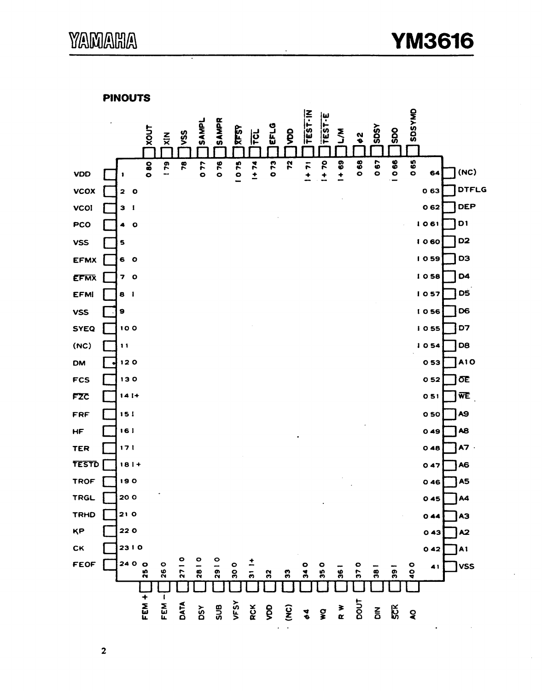**PINOUTS** 



 $\mathbf{2}$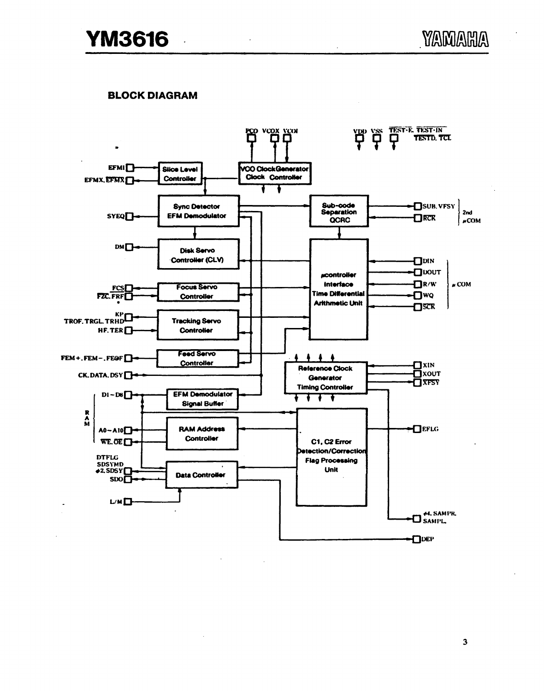### **BLOCK DIAGRAM**

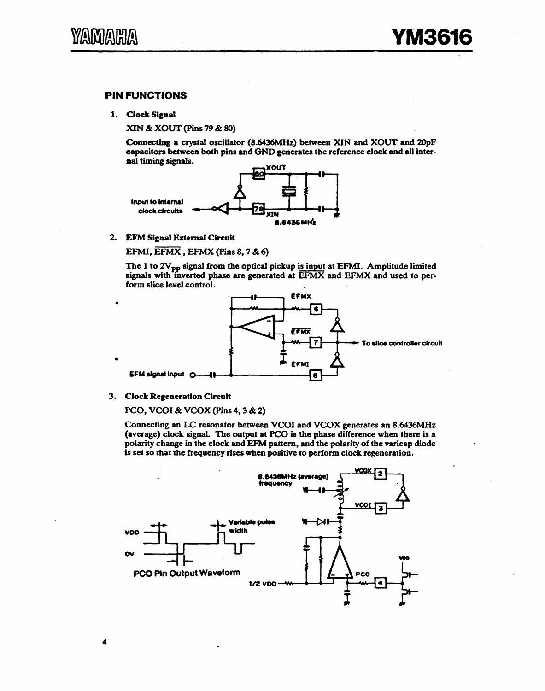#### PIN FUNCTIONS

1. Clock Signal

XIN & XOUT (Pins 79 & 80)

Connecting a crystal oscillator {8.6436MHz) between XIN and XOUT and 20pF capacitors between both pins and GND generates the reference clock and all internal timing signals.



2. EFM Signal External Circuit

EFMI,  $\overline{\text{EFMX}}$ , EFMX (Pins 8, 7 & 6)

The 1 to  $2V_{pp}$  signal from the optical pickup is input at EFMI. Amplitude limited signals with inverted phase are generated at EFMX and EFMX and used to perform slice level control.



3. Clock Regeneration Circuit

PCO, VCOI & VCOX (Pins 4, 3 & 2)

Connecting an LC resonator between VCOI and VCOX generates an 8.6436MHz (average) clock signal. The output at PCO is the phase difference when there is a polarity change in the clock and EfM pattern, and the polarity of the varicap diode is set so that the frequency rises when positive to perform clock regeneration.

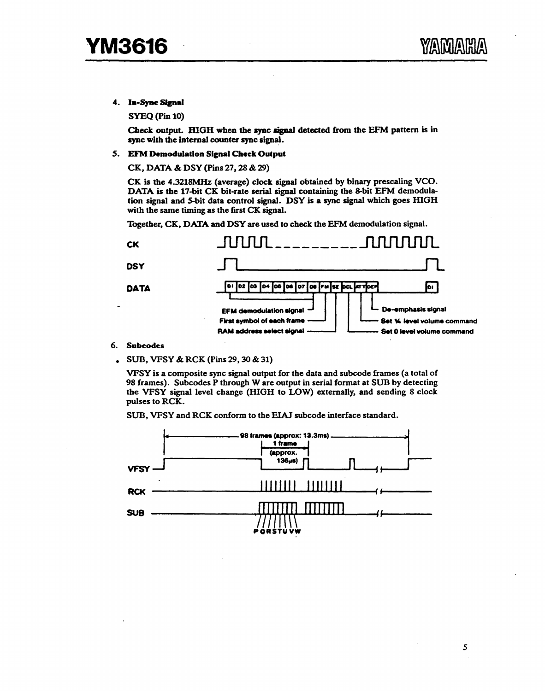4. In-Sync Signal

SYEQ (Pin 10)

Check output. HIGH when the sync signal detected from the EFM pattern is in sync with the internal counter sync signal.

*5.* EFM Demodulation Signal Check Output

CK, DATA & DSY (Pins 27, 28 & 29)

CK is the 4.3218MHz (average) clock signal obtained by binary prescaling VCO. DATA is the 17-bit CK bit-rate serial signal containing the 8-bit EFM demodulation signal and 5-bit data control signal. DSY is a sync signal which goes HIGH with the same timing as the first CK signal.

Together, CK, DATA and DSY are used to check the EFM demodulation signal.



- 6. Subcodes
- SUB, VFSY & RCK (Pins 29, 30 & 31)

VFSY is a composite sync signal output for the data and subcode frames (a total of 98 frames). Subcodes P through Ware output in serial format at SUB by detecting the VFSY signal level change (HIGH to LOW) externally, and sending 8 clock pulses to RCK.



5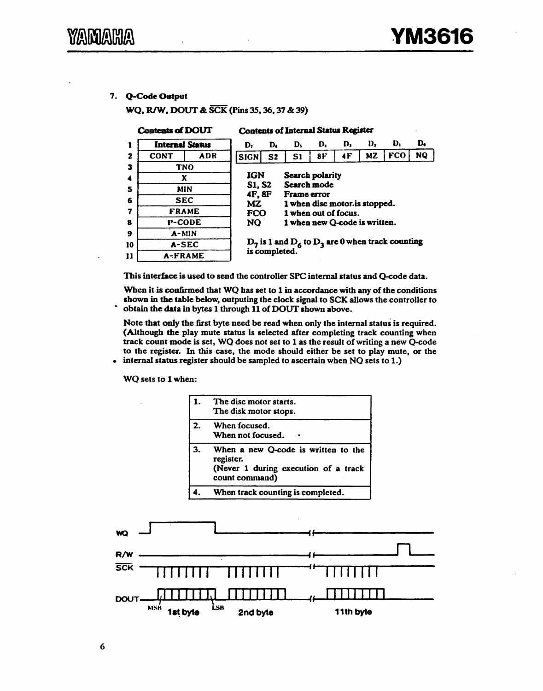#### 7. Q-Code Output

WQ, R/W, DOUT & SCK (Pins 35, 36, 37 & 39)

|              | <b>Contents of DOUT</b> |     |             | <b>Contents of Internal Status Register</b>                                                                                                |                               |    |    |           |            |           |  |
|--------------|-------------------------|-----|-------------|--------------------------------------------------------------------------------------------------------------------------------------------|-------------------------------|----|----|-----------|------------|-----------|--|
|              | <b>Internal Status</b>  |     | D,          | D.                                                                                                                                         | D,                            | D. | D, | D,        | Ð.         | D.        |  |
| $\mathbf{z}$ | <b>CONT</b>             | ADR | <b>SIGN</b> | S <sub>2</sub>                                                                                                                             | S1                            | 8F | 4F | <b>MZ</b> | <b>FCO</b> | <b>NQ</b> |  |
| 3            | <b>TNO</b>              |     |             |                                                                                                                                            |                               |    |    |           |            |           |  |
| 4            | X                       |     | <b>IGN</b>  | <b>Search polarity</b>                                                                                                                     |                               |    |    |           |            |           |  |
| 5            | MIN                     |     |             | Search mode<br><b>S1, S2</b><br>4F, 8F<br><b>Frame</b> error<br>MZ.<br>1 when disc motor is stopped.<br><b>FCO</b><br>1 when out of focus. |                               |    |    |           |            |           |  |
| 6            | <b>SEC</b>              |     |             |                                                                                                                                            |                               |    |    |           |            |           |  |
| 7            | <b>FRAME</b>            |     |             |                                                                                                                                            |                               |    |    |           |            |           |  |
| 8            | P-CODE                  |     | NQ.         |                                                                                                                                            | 1 when new O-code is written. |    |    |           |            |           |  |
| 9            | A-MIN                   |     |             |                                                                                                                                            |                               |    |    |           |            |           |  |
| 10           | A-SEC                   |     |             | $D_7$ is 1 and $D_6$ to $D_3$ are 0 when track counting<br>is completed.                                                                   |                               |    |    |           |            |           |  |
| 11           | A-FRAME                 |     |             |                                                                                                                                            |                               |    |    |           |            |           |  |

This interface is used to send the controller SPC internal status and Q-code data.

When it is confirmed that WQ has set to 1 in accordance with any of the conditions shown in the table below, outputing the clock signal to SCK allows the controller to obtain the data in bytes 1 through 11 of DOUT shown above.

Note that only the first byte need be read when only the internal status is required. (Although the play mute status is selected after completing track counting when track count mode is set, WQ does not set to 1 as the result of writing a new Q-code to the register. In this case, the mode should either be set to play mute, or the internal status register should be sampled to ascertain when NQ sets to 1.)

WQ sets to 1 when:

 $\ddot{\phantom{a}}$ 

 $\bullet$ 

|    | The disc motor starts.<br>The disk motor stops.                                                            |
|----|------------------------------------------------------------------------------------------------------------|
| 2. | When focused.<br>When not focused.                                                                         |
| 3. | When a new Q-code is written to the<br>register.<br>(Never 1 during execution of a track<br>count command) |
|    | When track counting is completed.                                                                          |

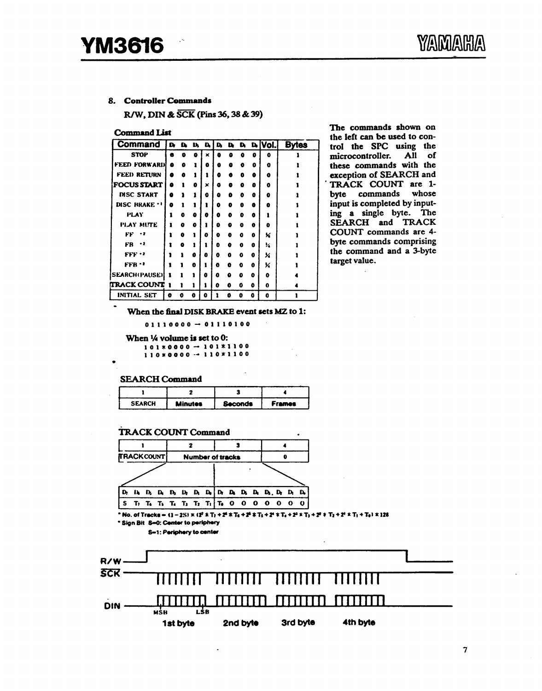#### 8. Controller Commands

R/W, DIN & SCK (Pins 36, 38 & 39)

**Command List** 

| Command              | ID DA |   | D. | D. | D. | D | D. |   | $b$ [Vol.] | <b>Bytes</b> |
|----------------------|-------|---|----|----|----|---|----|---|------------|--------------|
| <b>STOP</b>          | G     | ۰ | 0  | ×  | ۵  | ۵ | ٥  | o | $\bullet$  |              |
| <b>FEED FORWARD</b>  | Ω     | o |    | ۰  | a  | o | Ω  | o | o          |              |
| <b>FEED RETURN</b>   |       | Q |    | 1  | ٥  | Ð | o  | Ð | o          |              |
| <b>FOCUS START</b>   | Δ     |   | Ω  | ×  | ۵  | o | o  | ō | o          |              |
| <b>DISC START</b>    | ۵     |   |    | o  | n  | Ð | o  | Ð | Ð          |              |
| DISC BRAKE           | Ð     |   |    |    | ۵  | ۰ | o  | e | ۰          |              |
| PLAY                 |       | a | ٥  | 8  | ٥  | 0 | 0  | Ω |            |              |
| PLAY MUTE            |       | Ω | o  |    | ٥  | ۵ | 0  | ø | o          |              |
| FF<br>- 2            |       | e |    | o  | o  | 0 | o  | ٥ | ×          |              |
| FB<br>. .            |       | ٥ |    |    | Ð  | ۵ | O  | ٥ | ĸ          |              |
| $FFF^{-2}$           |       |   | Ω  | ٥  | O  | o | O  | 0 | x          |              |
| $FFB - 2$            |       |   | o  |    | O  | O | o  | 0 | x          |              |
| <b>SEARCH(PAUSE)</b> | 1     |   | 1  | 0  | Ω  | ۵ | 0  | o | ō          |              |
| <b>TRACK COUNT</b>   | -1    | ı | ı  | н  | o  | O | 0  | ۰ | 0          |              |
| INITIAL SET          | O     | o | 0  | 0  |    | o | 0  | ٥ | 0          |              |

The commands shown on the left can be used to control the SPC using the microcontroller. All of these commands with the exception of SEARCH and TRACK COUNT are 1byte commands whose input is completed by inputing a single byte. The SEARCH and TRACK COUNT commands are 4byte commands comprising the command and a 3-byte target value.

When the final DISK BRAKE event sets MZ to 1:

 $01110000 \rightarrow 01110100$ 

When 1/4 volume is set to 0:  $101*0000 \rightarrow 101*1100$ <br> $110*0000 \rightarrow 110*1100$ 

**SEARCH Command** 

| <b>SEARCH</b> | <b>Minutes</b> | <b>Seconds</b> | <b>Frames</b> |
|---------------|----------------|----------------|---------------|

**TRACK COUNT Command** 



<sup>\*</sup> Sign Bit S=0: Center to periphery

S-1: Periphery to center

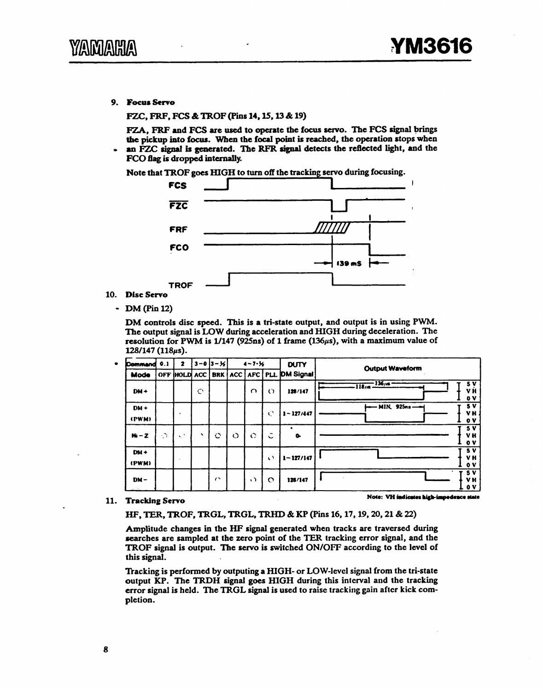9. Focus Servo

FZC, FRF, FCS & TROF (Pins 14, 15, 13 & 19)

FZA, FRF and FCS are used to operate the focus servo. The FCS signal brings the pickup into focus. When the focal point is reached, the operation stops when an FZC signal is generated. The RFR signal detects the reflected light, and the FCO flag is dropped internally.



10. Disc Servo

• DM(Pin12)

DM controls disc speed. This is a tri-state output, and output is in using PWM. The output signal is LOW during acceleration and HIGH during deceleration. The resolution for PWM is 1/147 (925ns) of 1 frame (136µs), with a maximum value of  $128/147 (118 \mu s).$ 

| <b>Command</b>  | 0.1     | 2                 |           | 3-03-31     |         | $4 - 7.36$ |                                    | <b>DUTY</b>                       | <b>Output Waveform</b>                                    |
|-----------------|---------|-------------------|-----------|-------------|---------|------------|------------------------------------|-----------------------------------|-----------------------------------------------------------|
| Mode            |         | OFF HOLD ACC      |           |             |         |            |                                    | BRK   ACC   AFC   PLL   DM Signal |                                                           |
| $DM +$          |         |                   | O         |             |         | $\Omega$   | $\circ$                            | 128/147                           | $\frac{136}{18}$<br>5V<br>VĤ<br>0V                        |
| DM+<br>(PWM)    |         | -                 |           |             |         |            | Ø                                  | $1 - 127/447$                     | 5V<br>- MIN. 925ns --<br>VH.<br>$\mathbf{o}$ $\mathbf{v}$ |
| $H_0 - Z$       | $\cdot$ | $\mathcal{A}_1$ . | $\lambda$ | $\mathbf C$ | $\circ$ | $\bullet$  | $\overline{\phantom{a}}$<br>$\sim$ | ٠<br>$\bullet$                    | 5V<br>VH<br>$\mathbf{o}$ v                                |
| $DM +$<br>(PWM) |         |                   |           |             |         |            | $\left\langle \right\rangle$       | $1 - 127/147$                     | 5 V<br>VH<br>$\mathbf{o}$ v                               |
| $DM -$          |         |                   |           | $\sim$      |         | $\cdot$    | $\circ$                            | 126/147                           | <b>5 V</b><br>VH.<br>$\mathbf{0} \mathbf{V}$              |

#### 11. Tracking Servo

Note: VH indicates high-impedence state

HF, TER, TROF, TRGL, TRGL, TRHD & KP (Pins 16, 17, 19, 20, 21 & 22)

Amplitude changes in the HF signal generated when tracks are traversed during searches are sampled at the zero point of the TER tracking error signal, and the TROF signal is output. The servo is switched ON/OFF according to the level of this signal.

Tracking is performed by outputing a HIGH- or LOW-level signal from the tri-state output KP. The TRDH signal goes HIGH during this interval and the tracking error signal is held. The TRGL signal is used to raise tracking gain after kick completion.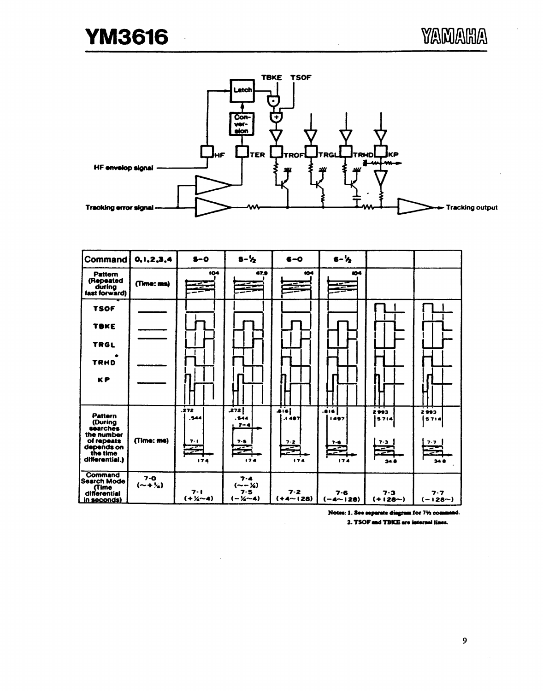$\ddot{\phantom{0}}$ 



| Command                                                                                                       | 0, 1, 2, 3, 4                | $5-0$                           | $5 - \frac{1}{2}$                                       | $6 - 0$                                              | $6 - \frac{1}{2}$                                   |                                       |                                 |
|---------------------------------------------------------------------------------------------------------------|------------------------------|---------------------------------|---------------------------------------------------------|------------------------------------------------------|-----------------------------------------------------|---------------------------------------|---------------------------------|
| <b>Pattern</b><br>(Repeated<br>during<br>fast forward)                                                        | (Time: ms)                   | 104                             | 47.9                                                    | 104<br>$-$                                           | 604<br>. ۔                                          |                                       |                                 |
| <b>TSOF</b>                                                                                                   |                              |                                 |                                                         |                                                      |                                                     |                                       |                                 |
| TBKE                                                                                                          |                              |                                 |                                                         |                                                      |                                                     |                                       |                                 |
| <b>TRGL</b>                                                                                                   |                              |                                 |                                                         |                                                      |                                                     |                                       |                                 |
| <b>TRHD</b>                                                                                                   |                              |                                 |                                                         |                                                      |                                                     |                                       |                                 |
| <b>KP</b>                                                                                                     |                              |                                 |                                                         |                                                      |                                                     |                                       |                                 |
| <b>Pattern</b><br>(During<br>searches<br>the number<br>of repeats<br>depends on<br>the time<br>differential.) | (Time: me)                   | .272<br>544.<br>7.1<br>Ø<br>174 | 272<br>. 544<br>$T - 4$<br>7.5<br>₹<br>174              | $\overline{1}$<br>.1 497<br>$7 - 2$<br>$\leq$<br>174 | $\overline{\cdots}$<br>1.497<br>$7 - 6$<br>€<br>174 | 2993<br>5714<br>7.3<br>Z<br>≂<br>34.8 | 2993<br>5714<br>7.7<br>亭<br>348 |
| Command<br><b>Search Mode</b><br><b>Time</b><br>differential<br>in seconds)                                   | $7-0$<br>$(- + \frac{1}{4})$ | $7 - 1$<br>$(+ \times - 4)$     | $7 - 4$<br>$(- - \frac{1}{4})$<br>$7 - 5$<br>$(-1/4-4)$ | $7 - 2$<br>$(+4 - 128)$                              | $7 - 6$<br>$(-4 - 128)$                             | $7 - 3$<br>$(+128 - )$                | 7.7<br>$(-128-)$                |

Notes: 1. See separate diagram for 71/2 command.

2. TSOF and TBKE are internal lines.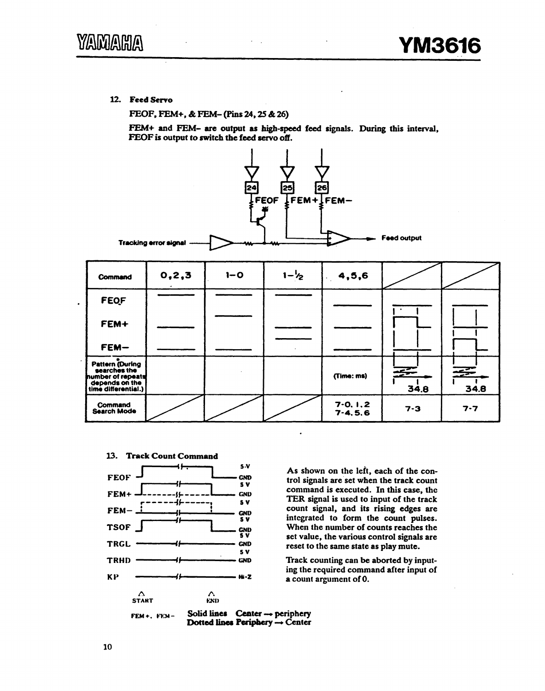12. Feed Servo

FEOF, FEM+, & FEM-(Pins 24, 25 & 26)

FEM+ and FEM- are output as high-speed feed signals. During this interval, FEOF is output to switch the feed servo off.



| Command                                                                                                | 0, 2, 3 | $1 - 0$ | $1 - \frac{1}{2}$ | 4,5,6                      |         |           |
|--------------------------------------------------------------------------------------------------------|---------|---------|-------------------|----------------------------|---------|-----------|
| <b>FEQF</b>                                                                                            |         |         |                   |                            |         |           |
| FEM+                                                                                                   |         |         |                   |                            |         |           |
| FEM-                                                                                                   |         |         |                   |                            |         |           |
| Pattern (During<br>searches the<br><b>humber of repeats</b><br>depends on the<br>  time differential.) |         |         |                   | (Time: ms)                 | 34.8    | 至<br>34.8 |
| Command<br><b>Search Mode</b>                                                                          |         |         |                   | $7-0.1.2$<br>$7 - 4, 5, 6$ | $7 - 3$ | $7 - 7$   |

 $\cdot$ 





As shown on the left, each of the control signals are set when the track count command is executed. In this case, the TER signal is used to input of the track count signal, and its rising edges are integrated to form the count pulses. When the number of counts reaches the set value, the various control signals are reset to the same state as play mute.

Track counting can be aborted by inputing the required command after input of a count argument of 0.

Solid lines Center - periphery  $FEM +$ ,  $FEM -$ Dotted lines Periphery - Center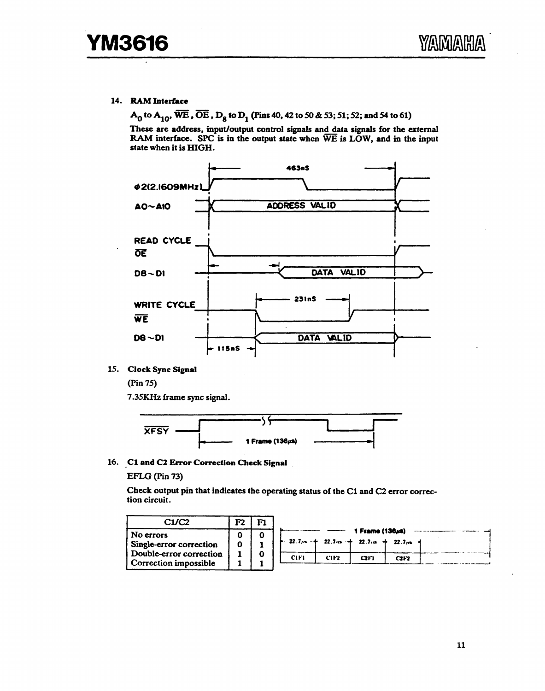#### 14. RAM Interface

A<sub>0</sub> to A<sub>10</sub>,  $\overline{WE}$ ,  $\overline{OE}$ , D<sub>8</sub> to D<sub>1</sub> (Pins 40, 42 to 50 & 53; 51; 52; and 54 to 61)

These are address, input/output control signals and data signals for the external RAM interface. SPC is in the output state when WE is LOW, and in the input state when it is HIGH.



15. Clock Sync Signal

 $(\text{Pin } 75)$ 

7.35KHz frame sync signal.



16. C1 and C2 Error Correction Check Signal

EFLG (Pin 73)

Check output pin that indicates the operating status of the C1 and C2 error correction circuit.

| C1/C2                                                                                    | m |                                                                                                                        |
|------------------------------------------------------------------------------------------|---|------------------------------------------------------------------------------------------------------------------------|
| No errors<br>Single-error correction<br>Double-error correction<br>Correction impossible |   | 1 Frame (136us)<br>$-22.7$ /n $ +$ 22.7 m $+$ 22.7 m $+$ 22.7 m $-$<br>C <sub>IF1</sub><br>CIF2<br><b>C2F1</b><br>C2F2 |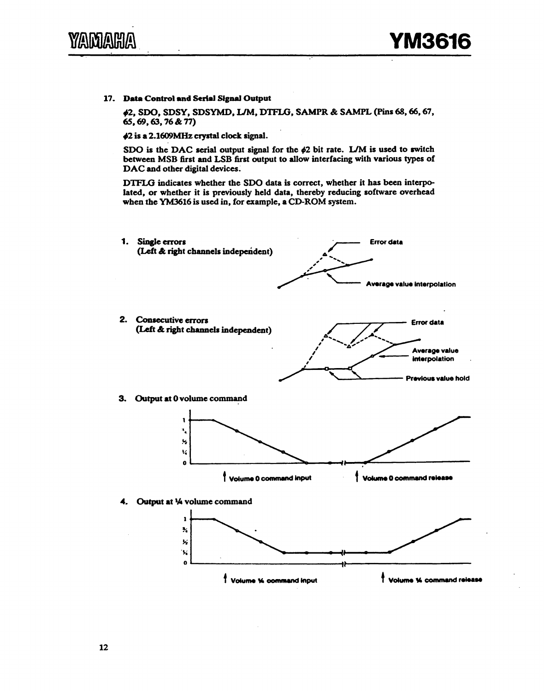17. Data Control and Serial Signal Output

.2, SDO, SDSY, SDSYMD, UM, DTFLG, SAMPR & SAMPL (Pins 68, 66, 67, 65, 69, 63, 76 & 77)

•2 is a 2.1609MHz crystal clock signal.

SDO is the DAC serial output signal for the  $\phi$ 2 bit rate. L/M is used to switch between MSB first and LSB first output to allow interfacing with various types of DAC and other digital devices.

DTFLG indicates whether the SDO data is correct, whether it has been interpolated, or whether it is previously held data, thereby reducing software overhead when the YM3616 is used in, for example, a CD-ROM system.

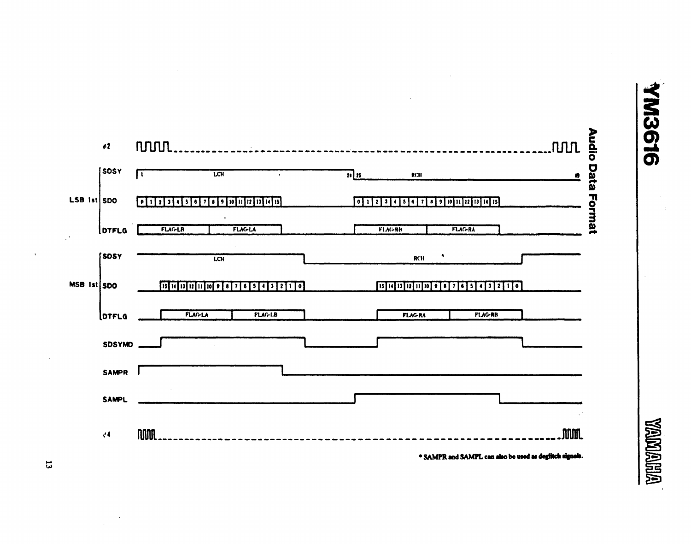



 $\mathfrak{r}$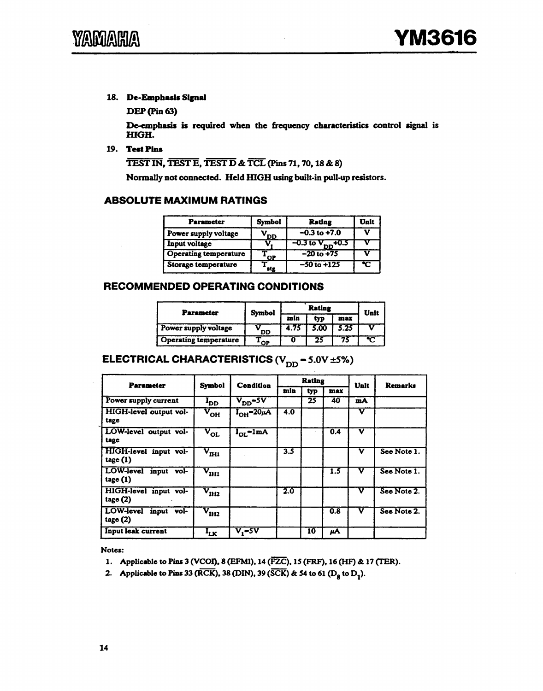#### 18. De-Empbasla Signal

DEP(Pin63)

De-emphasis is required when the frequency characteristics control signal is HIGH.

#### 19. Test Pins

TEST IN, TEST E, TEST D & TCL (Pins 71, 70, 18 & 8)

Normally not connected. Held IUGH using built-in pull-up resistors.

#### ABSOLUTE MAXIMUM RATINGS

| <b>Parameter</b>             | <b>Symbol</b> | <b>Rating</b>           | Unit |
|------------------------------|---------------|-------------------------|------|
| Power supply voltage         | DD.           | $-0.3$ to $+7.0$        |      |
| Input voltage                |               | $-0.3$ to $V_{DD}$ +0.5 |      |
| <b>Operating temperature</b> | <b>OP</b>     | $-20$ to $+75$          |      |
| Storage temperature          | stg           | $-50$ to $+125$         |      |

#### RECOMMENDED OPERATING CONDITIONS

| <b>Parameter</b>             | <b>Symbol</b> |      | Unit       |      |  |  |
|------------------------------|---------------|------|------------|------|--|--|
|                              |               | min  | typ<br>max |      |  |  |
| Power supply voltage         | <b>DD</b>     | 4.75 | 5.00       | 5.25 |  |  |
| <b>Operating temperature</b> | OP            |      | 25         |      |  |  |

## ELECTRICAL CHARACTERISTICS  $(V_{DD} = 5.0V \pm 5\%)$

| <b>Parameter</b>                      | Symbol                            | <b>Condition</b>                          |                  | <b>Rating</b> |     | Unit                    | <b>Remarks</b> |  |
|---------------------------------------|-----------------------------------|-------------------------------------------|------------------|---------------|-----|-------------------------|----------------|--|
|                                       |                                   |                                           | min              | typ           | max |                         |                |  |
| Power supply current                  | $I_{DD}$                          | $V_{DD}$ -5V                              |                  | 25            | 40  | mA                      |                |  |
| HIGH-level output vol-<br>tage        | $\rm v_{\rm OH}^{-1}$             | $I_{OH} = 20\mu A$                        | 4.0              |               |     | $\overline{\mathbf{v}}$ |                |  |
| LOW-level output vol-<br>tage         | $\rm v_{o{\scriptscriptstyle L}}$ | $I_{OL}$ -1mA                             |                  |               | 0.4 | v                       |                |  |
| HIGH-level input vol-<br>tage(1)      | $\rm v_{\rm min}$                 |                                           | $\overline{3.5}$ |               |     | v                       | See Note 1.    |  |
| LOW-level input vol-<br>tage(1)       | $\rm v_{\rm HII}^-$               |                                           |                  |               | 1.5 | $\overline{\mathbf{v}}$ | See Note 1.    |  |
| HIGH-level input vol-<br>tage $(2)$   | $\rm v_{\rm IR}$                  |                                           | 2.0              |               |     | $\overline{\mathbf{v}}$ | See Note 2.    |  |
| LOW-level<br>input<br>vol-<br>tage(2) | $\rm v_{\rm HI2}^-$               |                                           |                  |               | 0.8 | $\overline{\mathbf{v}}$ | See Note 2.    |  |
| Input leak current                    | $I_{LK}$                          | $\overline{\mathsf{v}_\cdot\texttt{-5V}}$ |                  | 10            | μA  |                         |                |  |

Notes:

- 1. Applicable to Pins 3 (VCOI), 8 (EFMI), 14 (FZC), 15 (FRF), 16 (HF) & 17 (TER).
- 2. Applicable to Pius 33 (RCK), 38 (DIN), 39 (SCK) & 54 to 61 (D<sub>8</sub> to D<sub>1</sub>).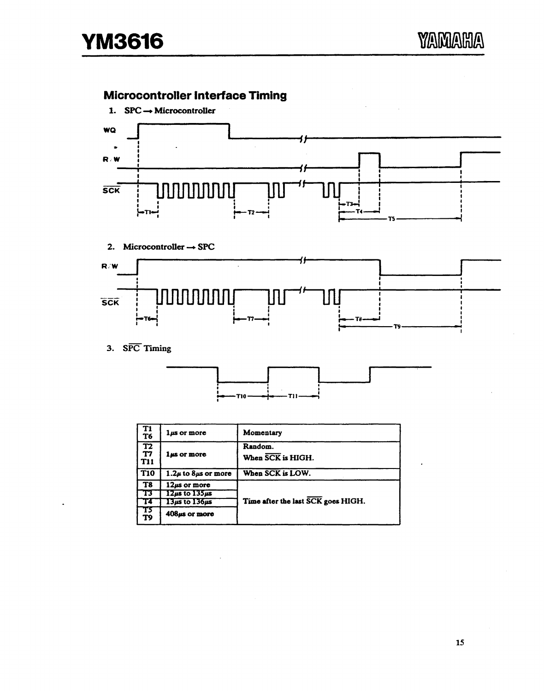## Microcontroller Interface Timing



2. Microcontroller  $\rightarrow$  SPC



3. SPC Timing



| Т1<br>T6                     | $1\mu s$ or more              | Momentary                          |
|------------------------------|-------------------------------|------------------------------------|
| $\frac{1}{17}$<br><b>T11</b> | 1 <sub>ks</sub> or more       | Random.<br>When SCK is HIGH.       |
| <b>T10</b>                   | $1.2\mu$ to 8 $\mu$ s or more | When SCK is LOW.                   |
| T8                           | $12\mu s$ or more             |                                    |
| Г3                           | $12\mu s$ to $135\mu s$       |                                    |
|                              | $13\mu s$ to $136\mu s$       | Time after the last SCK goes HIGH. |
| Т5<br>T9                     | 408µs or more                 |                                    |